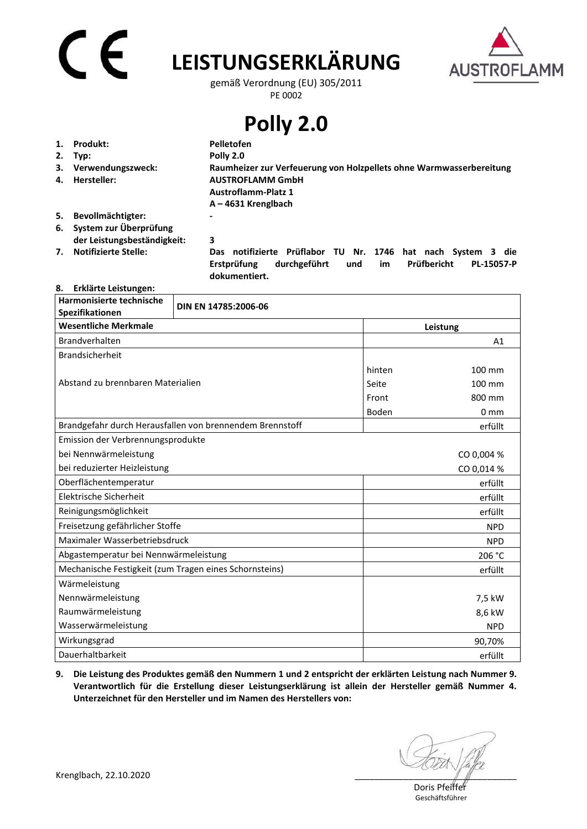# C E

## **LEISTUNGSERKLÄRUNG**



gemäß Verordnung (EU) 305/2011 PE 0002

**Polly 2.0** 

| 1. | Produkt:                    | Pelletofen                                                                                 |
|----|-----------------------------|--------------------------------------------------------------------------------------------|
|    | 2. Typ:                     | Polly 2.0                                                                                  |
|    | 3. Verwendungszweck:        | Raumheizer zur Verfeuerung von Holzpellets ohne Warmwasserbereitung                        |
| 4. | Hersteller:                 | <b>AUSTROFLAMM GmbH</b>                                                                    |
|    |                             | <b>Austroflamm-Platz 1</b>                                                                 |
|    |                             | $A - 4631$ Krenglbach                                                                      |
| 5. | Bevollmächtigter:           | $\blacksquare$                                                                             |
| 6. | System zur Überprüfung      |                                                                                            |
|    | der Leistungsbeständigkeit: | 3                                                                                          |
| 7. | <b>Notifizierte Stelle:</b> | Prüflabor<br>Nr. 1746<br>die<br>notifizierte<br>TU.<br>nach<br>System<br>hat<br><b>Das</b> |

 **Erstprüfung durchgeführt und im Prüfbericht PL-15057-P dokumentiert.** 

## **8. Erklärte Leistungen:**

| Harmonisierte technische<br>Spezifikationen            | DIN EN 14785:2006-06                                     |          |                 |
|--------------------------------------------------------|----------------------------------------------------------|----------|-----------------|
| <b>Wesentliche Merkmale</b>                            |                                                          | Leistung |                 |
| <b>Brandverhalten</b>                                  |                                                          |          | A1              |
| <b>Brandsicherheit</b>                                 |                                                          |          |                 |
| Abstand zu brennbaren Materialien                      |                                                          | hinten   | 100 mm          |
|                                                        |                                                          | Seite    | 100 mm          |
|                                                        |                                                          | Front    | 800 mm          |
|                                                        |                                                          | Boden    | 0 <sub>mm</sub> |
|                                                        | Brandgefahr durch Herausfallen von brennendem Brennstoff |          | erfüllt         |
| Emission der Verbrennungsprodukte                      |                                                          |          |                 |
| bei Nennwärmeleistung                                  |                                                          |          | CO 0,004 %      |
| bei reduzierter Heizleistung                           |                                                          |          | CO 0,014 %      |
| Oberflächentemperatur                                  |                                                          |          | erfüllt         |
| Elektrische Sicherheit                                 |                                                          |          | erfüllt         |
| Reinigungsmöglichkeit                                  |                                                          |          | erfüllt         |
| Freisetzung gefährlicher Stoffe                        |                                                          |          | <b>NPD</b>      |
| Maximaler Wasserbetriebsdruck                          |                                                          |          | <b>NPD</b>      |
| Abgastemperatur bei Nennwärmeleistung                  |                                                          |          | 206 °C          |
| Mechanische Festigkeit (zum Tragen eines Schornsteins) |                                                          |          | erfüllt         |
| Wärmeleistung                                          |                                                          |          |                 |
| Nennwärmeleistung                                      |                                                          |          | 7,5 kW          |
| Raumwärmeleistung                                      |                                                          |          | 8,6 kW          |
| Wasserwärmeleistung                                    |                                                          |          | <b>NPD</b>      |
| Wirkungsgrad                                           |                                                          |          | 90,70%          |
| Dauerhaltbarkeit                                       |                                                          |          | erfüllt         |

**9. Die Leistung des Produktes gemäß den Nummern 1 und 2 entspricht der erklärten Leistung nach Nummer 9. Verantwortlich für die Erstellung dieser Leistungserklärung ist allein der Hersteller gemäß Nummer 4. Unterzeichnet für den Hersteller und im Namen des Herstellers von:**

Doris Pfeiffer Geschäftsführer

Krenglbach, 22.10.2020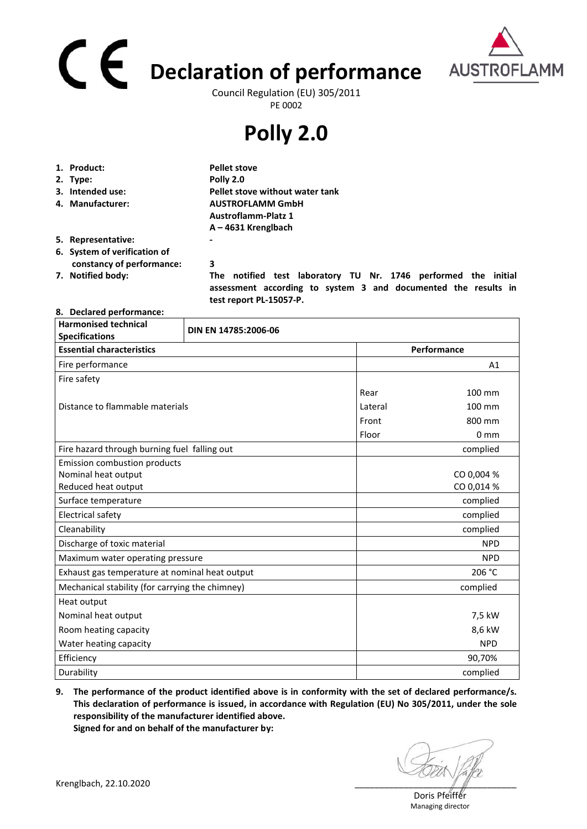# **Declaration of performance**  Council Regulation (EU) 305/2011



PE 0002

## **Polly 2.0**

| 1. Product:                  | <b>Pellet stove</b>                                                                                                              |  |
|------------------------------|----------------------------------------------------------------------------------------------------------------------------------|--|
| 2. Type:                     | Polly 2.0                                                                                                                        |  |
| 3. Intended use:             | Pellet stove without water tank                                                                                                  |  |
| 4. Manufacturer:             | <b>AUSTROFLAMM GmbH</b>                                                                                                          |  |
|                              | <b>Austroflamm-Platz 1</b>                                                                                                       |  |
|                              | $A - 4631$ Krenglbach                                                                                                            |  |
| 5. Representative:           |                                                                                                                                  |  |
| 6. System of verification of |                                                                                                                                  |  |
| constancy of performance:    | 3                                                                                                                                |  |
| 7. Notified body:            | The notified test laboratory TU Nr. 1746 performed the initial<br>assessment according to system 3 and documented the results in |  |

 **test report PL-15057-P.** 

### **8. Declared performance:**

| <b>Harmonised technical</b><br><b>Specifications</b> | DIN EN 14785:2006-06 |            |                 |  |
|------------------------------------------------------|----------------------|------------|-----------------|--|
| <b>Essential characteristics</b>                     |                      |            | Performance     |  |
| Fire performance                                     |                      |            | A1              |  |
| Fire safety                                          |                      |            |                 |  |
|                                                      |                      | Rear       | 100 mm          |  |
| Distance to flammable materials                      |                      | Lateral    | 100 mm          |  |
|                                                      |                      | Front      | 800 mm          |  |
|                                                      |                      | Floor      | 0 <sub>mm</sub> |  |
| Fire hazard through burning fuel falling out         |                      |            | complied        |  |
| <b>Emission combustion products</b>                  |                      |            |                 |  |
| Nominal heat output                                  |                      |            | CO 0,004 %      |  |
| Reduced heat output                                  |                      |            | CO 0,014 %      |  |
| Surface temperature                                  |                      |            | complied        |  |
| <b>Electrical safety</b>                             |                      |            | complied        |  |
| Cleanability                                         |                      |            | complied        |  |
| Discharge of toxic material                          |                      | <b>NPD</b> |                 |  |
| Maximum water operating pressure                     |                      |            | <b>NPD</b>      |  |
| Exhaust gas temperature at nominal heat output       |                      |            | 206 °C          |  |
| Mechanical stability (for carrying the chimney)      |                      |            | complied        |  |
| Heat output                                          |                      |            |                 |  |
| Nominal heat output                                  |                      |            | 7,5 kW          |  |
| Room heating capacity                                |                      |            | 8,6 kW          |  |
| Water heating capacity                               |                      |            | <b>NPD</b>      |  |
| Efficiency                                           |                      |            | 90,70%          |  |
| Durability                                           |                      |            | complied        |  |

**9. The performance of the product identified above is in conformity with the set of declared performance/s. This declaration of performance is issued, in accordance with Regulation (EU) No 305/2011, under the sole responsibility of the manufacturer identified above.** 

**Signed for and on behalf of the manufacturer by:**

Doris Pfeiffer Managing director